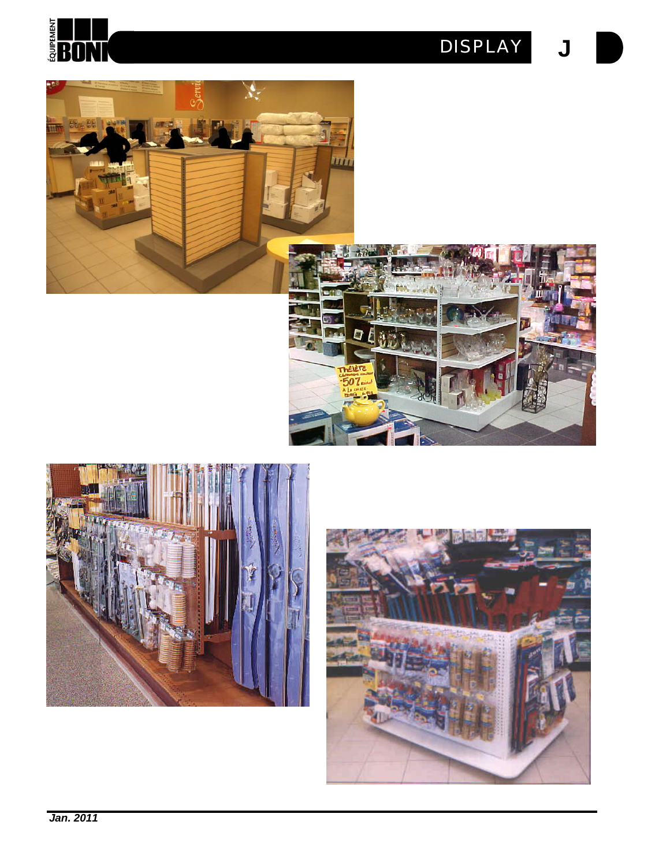









*Jan. 2011*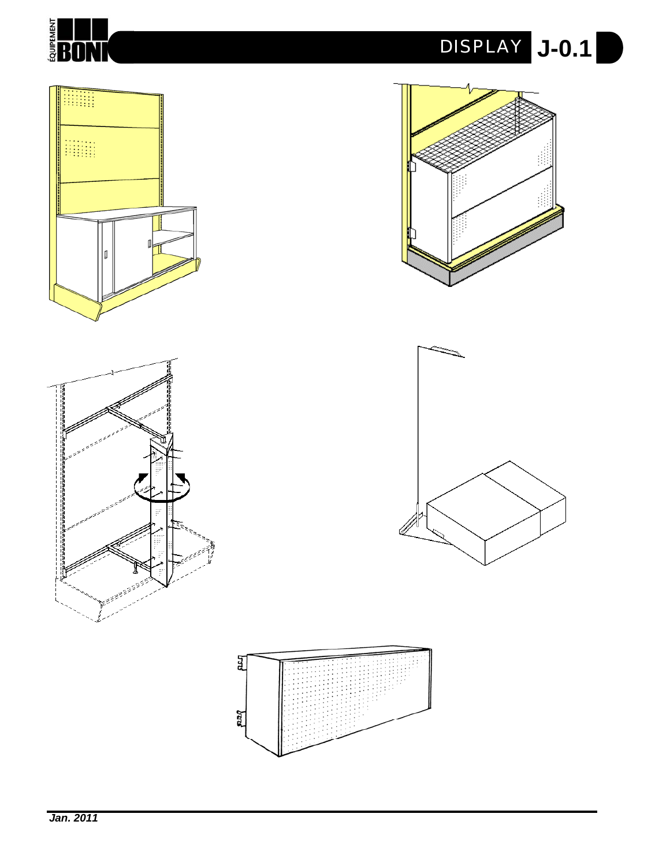



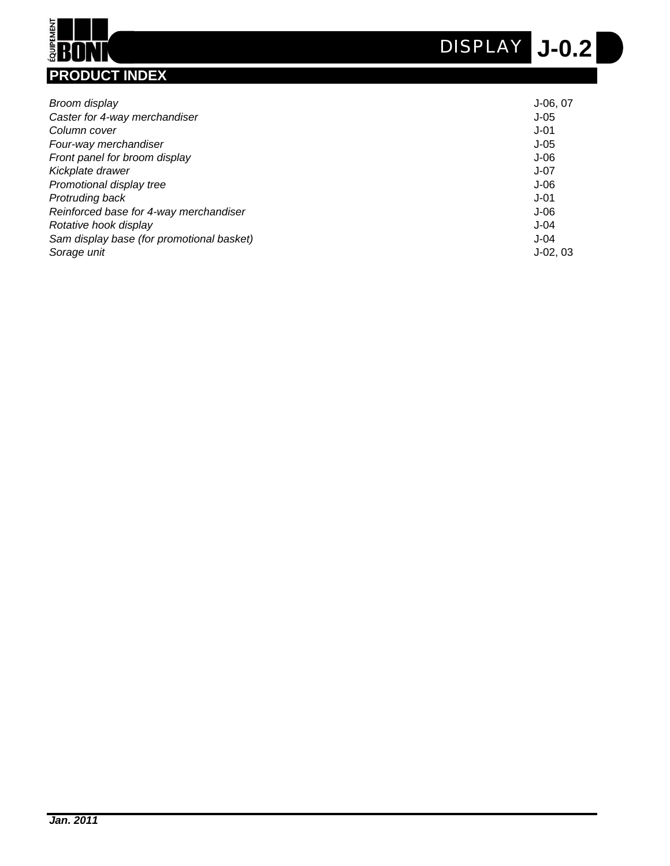

# **ENDAN PRODUCT INDEX**

| Broom display                             | $J-06,07$ |
|-------------------------------------------|-----------|
| Caster for 4-way merchandiser             | $J-05$    |
| Column cover                              | $J-01$    |
| Four-way merchandiser                     | $J-05$    |
| Front panel for broom display             | $J-06$    |
| Kickplate drawer                          | J-07      |
| Promotional display tree                  | $J-06$    |
| Protruding back                           | $J-01$    |
| Reinforced base for 4-way merchandiser    | $J-06$    |
| Rotative hook display                     | $J-04$    |
| Sam display base (for promotional basket) | $J-04$    |
| Sorage unit                               | $J-02.03$ |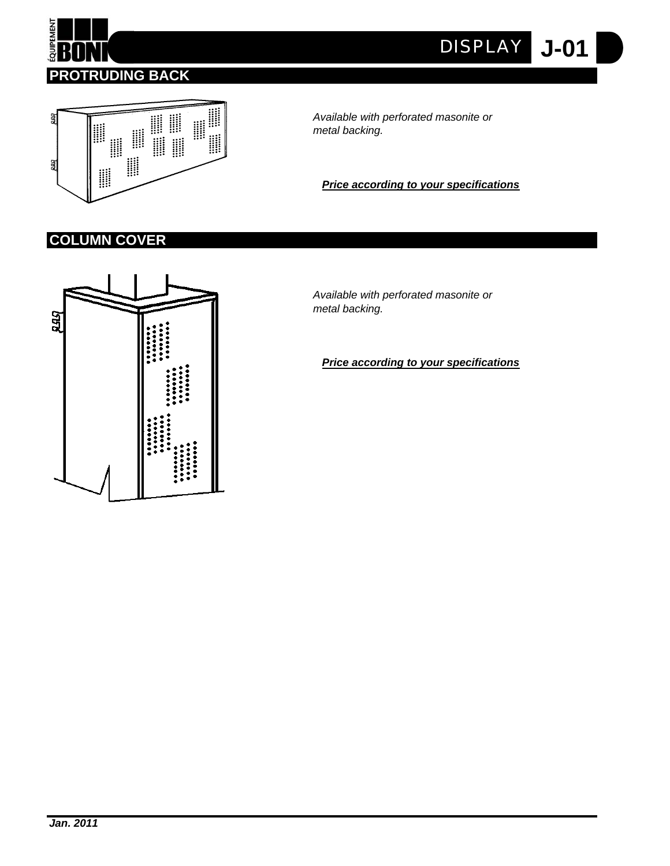

**J-01** *DISPLAY*



*Available with perforated masonite or metal backing.*

*Price according to your specifications*

# **COLUMN COVER**



*Available with perforated masonite or metal backing.*

*Price according to your specifications*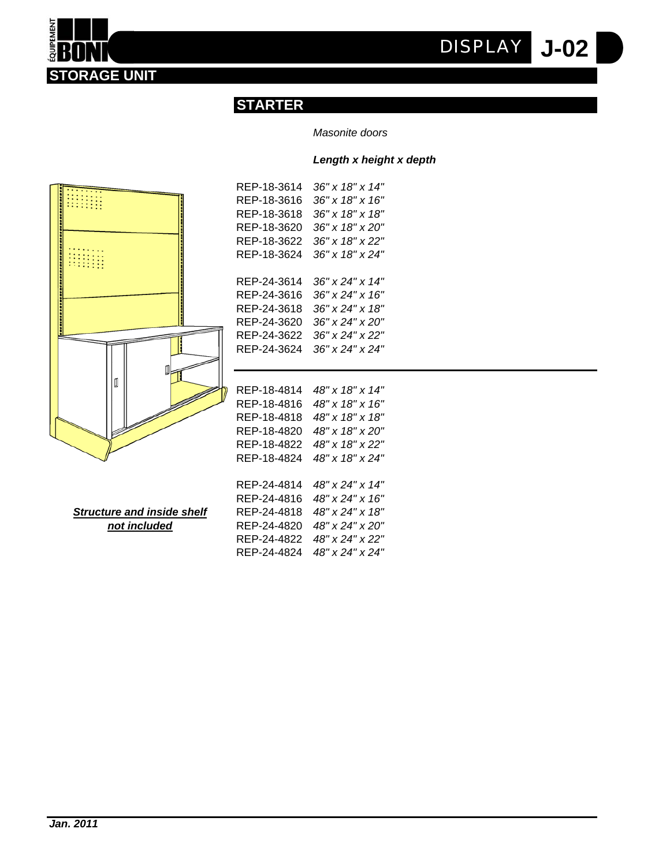**J-02** *DISPLAY*



#### *Masonite doors*

#### *Length x height x depth*



**STORAGE UNIT**

**EQUIPEMENT** 

| REP-18-3614 | $36" \times 18" \times 14"$ |
|-------------|-----------------------------|
| REP-18-3616 | $36"$ x $18"$ x $16"$       |
| REP-18-3618 | 36" x 18" x 18"             |
| REP-18-3620 | 36" x 18" x 20"             |
| REP-18-3622 | 36" x 18" x 22"             |
| REP-18-3624 | 36" x 18" x 24"             |
|             |                             |
| REP-24-3614 | 36" x 24" x 14"             |
| REP-24-3616 | 36" x 24" x 16"             |
| REP-24-3618 | 36" x 24" x 18"             |
| REP-24-3620 | 36" x 24" x 20"             |
| REP-24-3622 | 36" x 24" x 22"             |
| REP-24-3624 | 36" x 24" x 24"             |
|             |                             |
|             |                             |
| REP-18-4814 | 48" x 18" x 14"             |
| REP-18-4816 | 48" x 18" x 16"             |

**Structure and inside shelf**  $not included$ </u>

| REP-18-4818 | 48" x 18" x 18" |
|-------------|-----------------|
| REP-18-4820 | 48" x 18" x 20" |
| REP-18-4822 | 48" x 18" x 22" |
| REP-18-4824 | 48" x 18" x 24" |
|             |                 |
| REP-24-4814 | 48" x 24" x 14" |
| REP-24-4816 | 48" x 24" x 16" |
| REP-24-4818 | 48" x 24" x 18" |
| REP-24-4820 | 48" x 24" x 20" |
| REP-24-4822 | 48" x 24" x 22" |
| REP-24-4824 | 48" x 24" x 24" |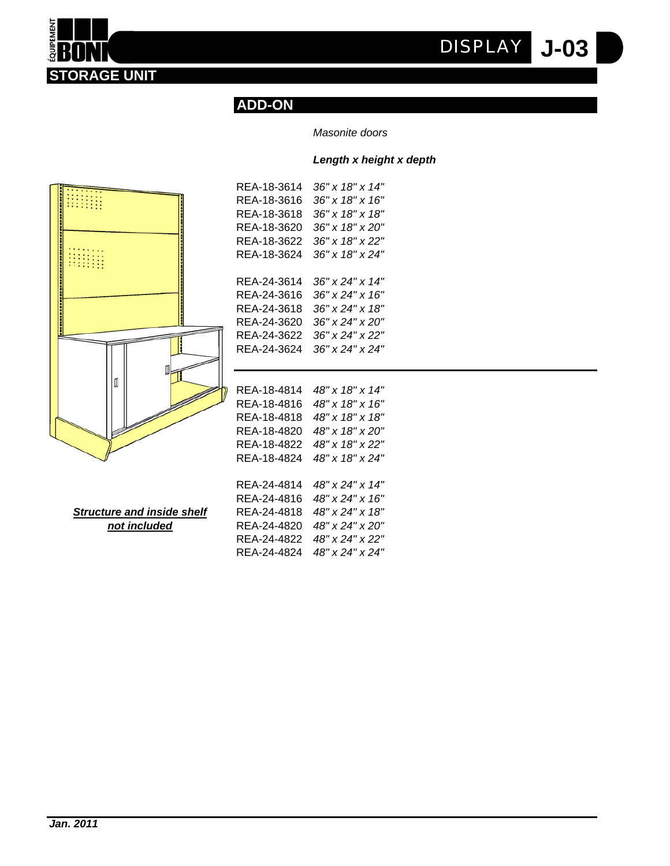**J-03** *DISPLAY*



## *Masonite doors*

#### *Length x height x depth*



**STORAGE UNIT**

**EQUIPEMENT** 

| REA-18-3614 | 36" x 18" x 14"             |
|-------------|-----------------------------|
| REA-18-3616 | 36" x 18" x 16"             |
| REA-18-3618 | 36" x 18" x 18"             |
| REA-18-3620 | $36" \times 18" \times 20"$ |
| REA-18-3622 | 36" x 18" x 22"             |
| REA-18-3624 | 36" x 18" x 24"             |
|             |                             |
| REA-24-3614 | 36" x 24" x 14"             |
| REA-24-3616 | 36" x 24" x 16"             |
| REA-24-3618 | 36" x 24" x 18"             |
| REA-24-3620 | 36" x 24" x 20"             |
| REA-24-3622 | 36" x 24" x 22"             |
| REA-24-3624 | 36" x 24" x 24"             |
|             |                             |
|             |                             |
| REA-18-4814 | 48" x 18" x 14"             |
| REA-18-4816 | 48" x 18" x 16"             |
| REA-18-4818 | 48" x 18" x 18"             |

**Structure and inside shelf**  $not *included*$ </u>

| 48" x 18" x 20" |
|-----------------|
| 48" x 18" x 22" |
| 48" x 18" x 24" |
|                 |
| 48" x 24" x 14" |
| 48" x 24" x 16" |
| 48" x 24" x 18" |
| 48" x 24" x 20" |
| 48" x 24" x 22" |
| 48" x 24" x 24" |
|                 |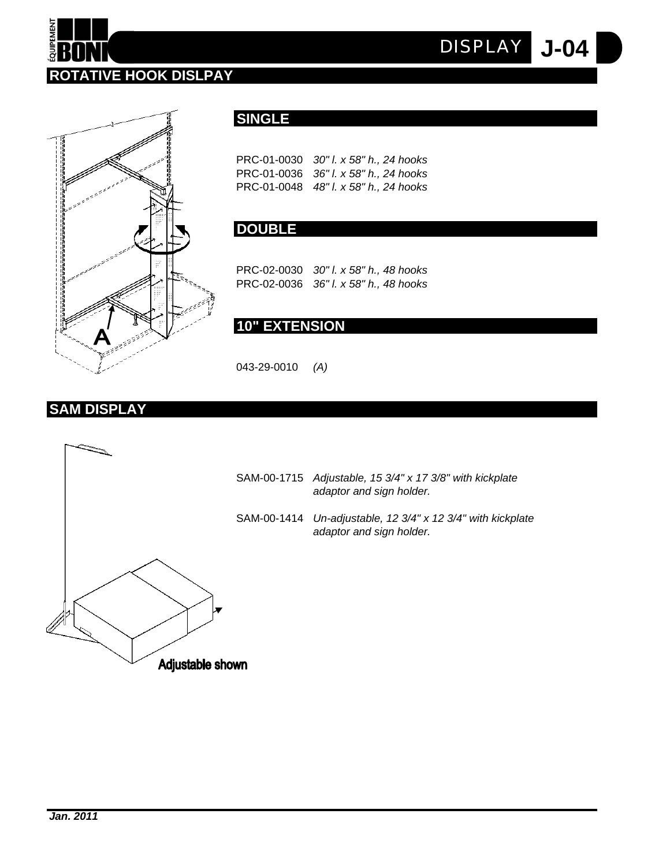



## **SINGLE**

PRC-01-0030 *30" l. x 58" h., 24 hooks* PRC-01-0036 *36" l. x 58" h., 24 hooks* PRC-01-0048 *48" l. x 58" h., 24 hooks* **J-04** *DISPLAY*

## **DOUBLE**

PRC-02-0030 *30" l. x 58" h., 48 hooks* PRC-02-0036 *36" l. x 58" h., 48 hooks*

# **10" EXTENSION**

043-29-0010 *(A)*

## **SAM DISPLAY**

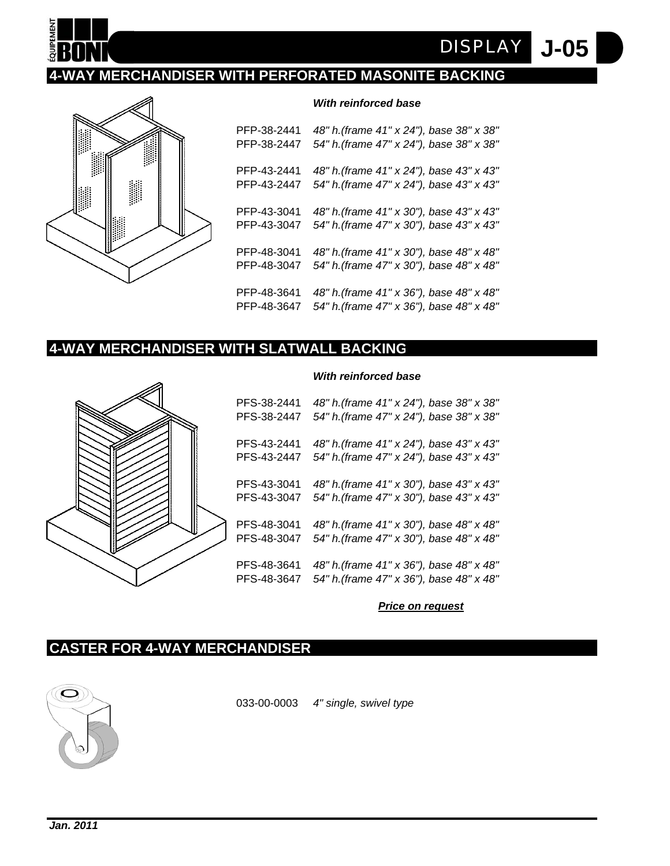

# **4-WAY MERCHANDISER WITH PERFORATED MASONITE BACKING**



#### *With reinforced base*

**J-05**

*DISPLAY*

PFP-38-2441 *48" h.(frame 41" x 24"), base 38" x 38"* PFP-38-2447 *54" h.(frame 47" x 24"), base 38" x 38"* PFP-43-2441 *48" h.(frame 41" x 24"), base 43" x 43"* PFP-43-2447 *54" h.(frame 47" x 24"), base 43" x 43"* PFP-43-3041 *48" h.(frame 41" x 30"), base 43" x 43"* PFP-43-3047 *54" h.(frame 47" x 30"), base 43" x 43"* PFP-48-3041 *48" h.(frame 41" x 30"), base 48" x 48"* PFP-48-3047 *54" h.(frame 47" x 30"), base 48" x 48"* PFP-48-3641 *48" h.(frame 41" x 36"), base 48" x 48"* PFP-48-3647 *54" h.(frame 47" x 36"), base 48" x 48"*

## **4-WAY MERCHANDISER WITH SLATWALL BACKING**



#### *With reinforced base*

PFS-38-2441 *48" h.(frame 41" x 24"), base 38" x 38"* PFS-38-2447 *54" h.(frame 47" x 24"), base 38" x 38"* PFS-43-2441 *48" h.(frame 41" x 24"), base 43" x 43"* PFS-43-2447 *54" h.(frame 47" x 24"), base 43" x 43"* PFS-43-3041 *48" h.(frame 41" x 30"), base 43" x 43"* PFS-43-3047 *54" h.(frame 47" x 30"), base 43" x 43"* PFS-48-3041 *48" h.(frame 41" x 30"), base 48" x 48"* PFS-48-3047 *54" h.(frame 47" x 30"), base 48" x 48"* PFS-48-3641 *48" h.(frame 41" x 36"), base 48" x 48"* PFS-48-3647 *54" h.(frame 47" x 36"), base 48" x 48"*

#### *Price on request*

## **CASTER FOR 4-WAY MERCHANDISER**



033-00-0003 *4" single, swivel type*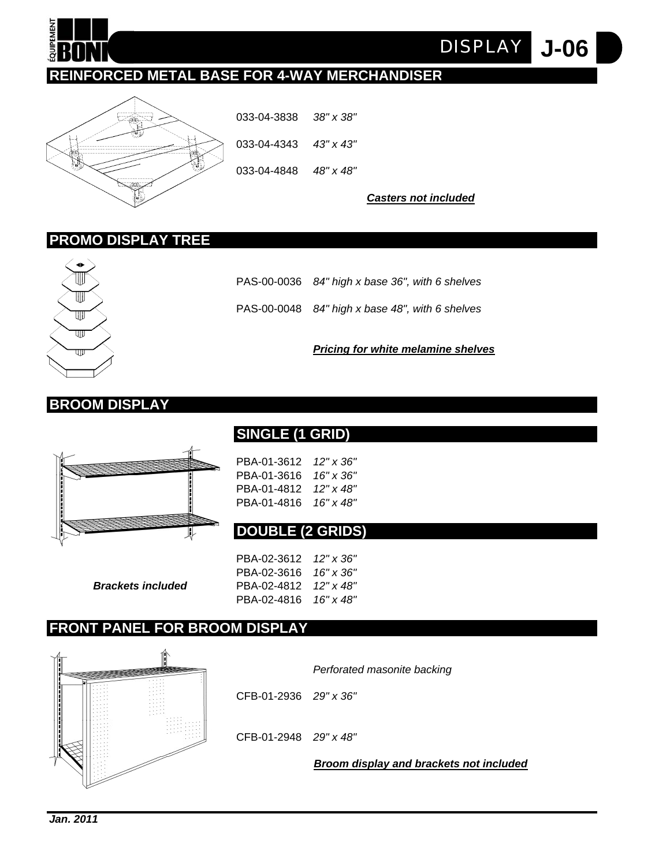

**J-06** *DISPLAY*

# **REINFORCED METAL BASE FOR 4-WAY MERCHANDISER**



033-04-3838 *38" x 38"* 033-04-4343 *43" x 43"* 033-04-4848 *48" x 48"*

*Casters not included*

## **PROMO DISPLAY TREE**



PAS-00-0036 *84" high x base 36", with 6 shelves*

PAS-00-0048 *84" high x base 48", with 6 shelves*

*Pricing for white melamine shelves*

## **BROOM DISPLAY**



**SINGLE (1 GRID)**

PBA-01-3612 *12" x 36"* PBA-01-3616 *16" x 36"* PBA-01-4812 *12" x 48"* PBA-01-4816 *16" x 48"*

## **DOUBLE (2 GRIDS)**

PBA-02-3612 *12" x 36"* PBA-02-3616 *16" x 36" Brackets included* PBA-02-4812 *12" x 48"* PBA-02-4816 *16" x 48"*

## **FRONT PANEL FOR BROOM DISPLAY**



*Perforated masonite backing*

CFB-01-2936 *29" x 36"*

CFB-01-2948 *29" x 48"*

*Broom display and brackets not included*